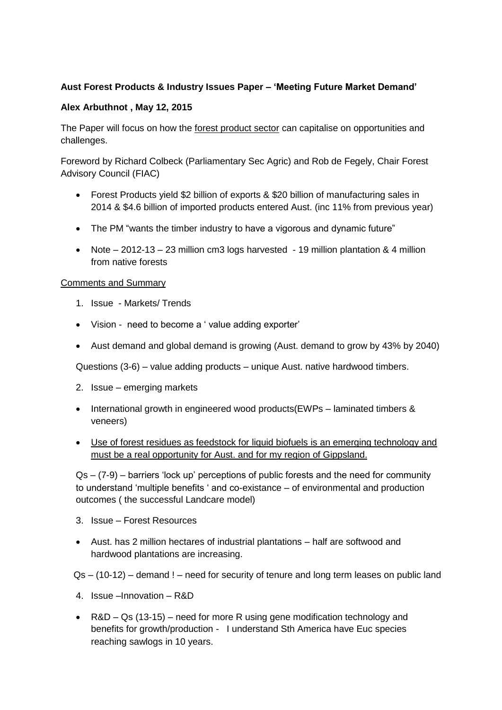## **Aust Forest Products & Industry Issues Paper – 'Meeting Future Market Demand'**

## **Alex Arbuthnot , May 12, 2015**

The Paper will focus on how the forest product sector can capitalise on opportunities and challenges.

Foreword by Richard Colbeck (Parliamentary Sec Agric) and Rob de Fegely, Chair Forest Advisory Council (FIAC)

- Forest Products yield \$2 billion of exports & \$20 billion of manufacturing sales in 2014 & \$4.6 billion of imported products entered Aust. (inc 11% from previous year)
- The PM "wants the timber industry to have a vigorous and dynamic future"
- Note 2012-13 23 million cm3 logs harvested 19 million plantation & 4 million from native forests

## Comments and Summary

- 1. Issue Markets/ Trends
- Vision need to become a ' value adding exporter'
- Aust demand and global demand is growing (Aust. demand to grow by 43% by 2040)

Questions (3-6) – value adding products – unique Aust. native hardwood timbers.

- 2. Issue emerging markets
- International growth in engineered wood products(EWPs laminated timbers & veneers)
- Use of forest residues as feedstock for liquid biofuels is an emerging technology and must be a real opportunity for Aust. and for my region of Gippsland.

 $Qs - (7-9)$  – barriers 'lock up' perceptions of public forests and the need for community to understand 'multiple benefits ' and co-existance – of environmental and production outcomes ( the successful Landcare model)

- 3. Issue Forest Resources
- Aust. has 2 million hectares of industrial plantations half are softwood and hardwood plantations are increasing.

Qs – (10-12) – demand ! – need for security of tenure and long term leases on public land

- 4. Issue –Innovation R&D
- R&D Qs (13-15) need for more R using gene modification technology and benefits for growth/production - I understand Sth America have Euc species reaching sawlogs in 10 years.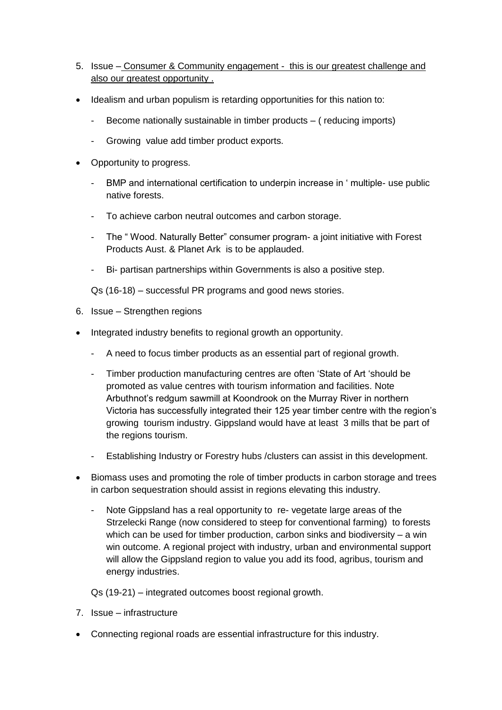- 5. Issue Consumer & Community engagement this is our greatest challenge and also our greatest opportunity .
- Idealism and urban populism is retarding opportunities for this nation to:
	- Become nationally sustainable in timber products ( reducing imports)
	- Growing value add timber product exports.
- Opportunity to progress.
	- BMP and international certification to underpin increase in ' multiple- use public native forests.
	- To achieve carbon neutral outcomes and carbon storage.
	- The " Wood. Naturally Better" consumer program- a joint initiative with Forest Products Aust. & Planet Ark is to be applauded.
	- Bi- partisan partnerships within Governments is also a positive step.

Qs (16-18) – successful PR programs and good news stories.

- 6. Issue Strengthen regions
- Integrated industry benefits to regional growth an opportunity.
	- A need to focus timber products as an essential part of regional growth.
	- Timber production manufacturing centres are often 'State of Art 'should be promoted as value centres with tourism information and facilities. Note Arbuthnot's redgum sawmill at Koondrook on the Murray River in northern Victoria has successfully integrated their 125 year timber centre with the region's growing tourism industry. Gippsland would have at least 3 mills that be part of the regions tourism.
	- Establishing Industry or Forestry hubs /clusters can assist in this development.
- Biomass uses and promoting the role of timber products in carbon storage and trees in carbon sequestration should assist in regions elevating this industry.
	- Note Gippsland has a real opportunity to re-vegetate large areas of the Strzelecki Range (now considered to steep for conventional farming) to forests which can be used for timber production, carbon sinks and biodiversity – a win win outcome. A regional project with industry, urban and environmental support will allow the Gippsland region to value you add its food, agribus, tourism and energy industries.

Qs (19-21) – integrated outcomes boost regional growth.

- 7. Issue infrastructure
- Connecting regional roads are essential infrastructure for this industry.